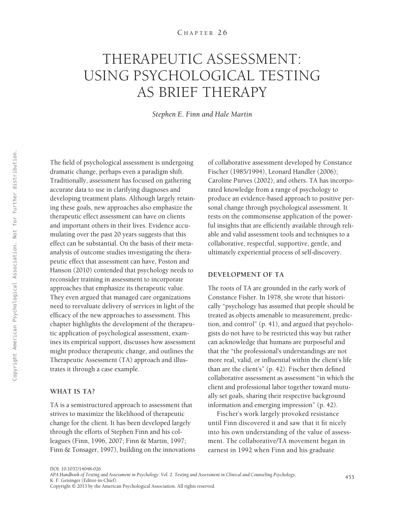#### CHAPTER 26

# Therapeutic Assessment: Using Psychological Testing as Brief Therapy

*Stephen E. Finn and Hale Martin*

The field of psychological assessment is undergoing dramatic change, perhaps even a paradigm shift. Traditionally, assessment has focused on gathering accurate data to use in clarifying diagnoses and developing treatment plans. Although largely retaining these goals, new approaches also emphasize the therapeutic effect assessment can have on clients and important others in their lives. Evidence accumulating over the past 20 years suggests that this effect can be substantial. On the basis of their metaanalysis of outcome studies investigating the therapeutic effect that assessment can have, Poston and Hanson (2010) contended that psychology needs to reconsider training in assessment to incorporate approaches that emphasize its therapeutic value. They even argued that managed care organizations need to reevaluate delivery of services in light of the efficacy of the new approaches to assessment. This chapter highlights the development of the therapeutic application of psychological assessment, examines its empirical support, discusses how assessment might produce therapeutic change, and outlines the Therapeutic Assessment (TA) approach and illustrates it through a case example.

#### WHAT IS TA?

TA is a semistructured approach to assessment that strives to maximize the likelihood of therapeutic change for the client. It has been developed largely through the efforts of Stephen Finn and his colleagues (Finn, 1996, 2007; Finn & Martin, 1997; Finn & Tonsager, 1997), building on the innovations of collaborative assessment developed by Constance Fischer (1985/1994), Leonard Handler (2006); Caroline Purves (2002), and others. TA has incorporated knowledge from a range of psychology to produce an evidence-based approach to positive personal change through psychological assessment. It rests on the commonsense application of the powerful insights that are efficiently available through reliable and valid assessment tools and techniques to a collaborative, respectful, supportive, gentle, and ultimately experiential process of self-discovery.

## **Development of TA**

The roots of TA are grounded in the early work of Constance Fisher. In 1978, she wrote that historically "psychology has assumed that people should be treated as objects amenable to measurement, prediction, and control" (p. 41), and argued that psychologists do not have to be restricted this way but rather can acknowledge that humans are purposeful and that the "the professional's understandings are not more real, valid, or influential within the client's life than are the client's" (p. 42). Fischer then defined collaborative assessment as assessment "in which the client and professional labor together toward mutually set goals, sharing their respective background information and emerging impression" (p. 42).

Fischer's work largely provoked resistance until Finn discovered it and saw that it fit nicely into his own understanding of the value of assessment. The collaborative/TA movement began in earnest in 1992 when Finn and his graduate

DOI: 10.1037/14048-026

*APA Handbook of Testing and Assessment in Psychology: Vol. 2. Testing and Assessment in Clinical and Counseling Psychology,*  K. F. Geisinger (Editor-in-Chief)

Copyright © 2013 by the American Psychological Association. All rights reserved.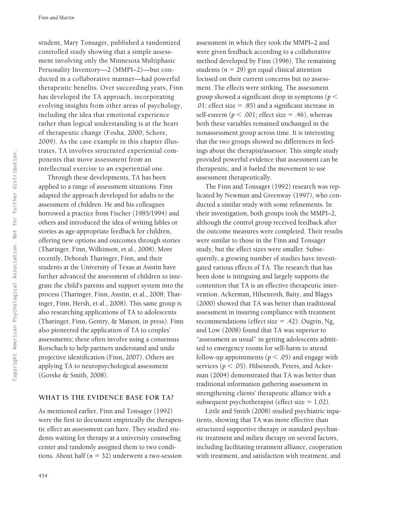student, Mary Tonsager, published a randomized controlled study showing that a simple assessment involving only the Minnesota Multiphasic Personality Inventory—2 (MMPI–2)—but conducted in a collaborative manner—had powerful therapeutic benefits. Over succeeding years, Finn has developed the TA approach, incorporating evolving insights from other areas of psychology, including the idea that emotional experience rather than logical understanding is at the heart of therapeutic change (Fosha, 2000; Schore, 2009). As the case example in this chapter illustrates, TA involves structured experiential components that move assessment from an intellectual exercise to an experiential one.

Through these developments, TA has been applied to a range of assessment situations. Finn adapted the approach developed for adults to the assessment of children. He and his colleagues borrowed a practice from Fischer (1985/1994) and others and introduced the idea of writing fables or stories as age-appropriate feedback for children, offering new options and outcomes through stories (Tharinger, Finn, Wilkinson, et al., 2008). More recently, Deborah Tharinger, Finn, and their students at the University of Texas at Austin have further advanced the assessment of children to integrate the child's parents and support system into the process (Tharinger, Finn, Austin, et al., 2008; Tharinger, Finn, Hersh, et al., 2008). This same group is also researching applications of TA to adolescents (Tharinger, Finn, Gentry, & Matson, in press). Finn also pioneered the application of TA to couples' assessments; these often involve using a consensus Rorschach to help partners understand and undo projective identification (Finn, 2007). Others are applying TA to neuropsychological assessment (Gorske & Smith, 2008).

#### **What Is the Evidence Base for TA?**

As mentioned earlier, Finn and Tonsager (1992) were the first to document empirically the therapeutic effect an assessment can have. They studied students waiting for therapy at a university counseling center and randomly assigned them to two conditions. About half (*n* = 32) underwent a two-session

assessment in which they took the MMPI–2 and were given feedback according to a collaborative method developed by Finn (1996). The remaining students  $(n = 29)$  got equal clinical attention focused on their current concerns but no assessment. The effects were striking. The assessment group showed a significant drop in symptoms (*p* < .01; effect size  $=$  .85) and a significant increase in self-esteem ( $p < .001$ ; effect size = .46), whereas both these variables remained unchanged in the nonassessment group across time. It is interesting that the two groups showed no differences in feelings about the therapist/assessor. This simple study provided powerful evidence that assessment can be therapeutic, and it fueled the movement to use assessment therapeutically.

The Finn and Tonsager (1992) research was replicated by Newman and Greenway (1997), who conducted a similar study with some refinements. In their investigation, both groups took the MMPI–2, although the control group received feedback after the outcome measures were completed. Their results were similar to those in the Finn and Tonsager study, but the effect sizes were smaller. Subsequently, a growing number of studies have investigated various effects of TA. The research that has been done is intriguing and largely supports the contention that TA is an effective therapeutic intervention. Ackerman, Hilsenroth, Baity, and Blagys (2000) showed that TA was better than traditional assessment in insuring compliance with treatment recommendations (effect size  $= .42$ ). Ougrin, Ng, and Low (2008) found that TA was superior to "assessment as usual" in getting adolescents admitted to emergency rooms for self-harm to attend follow-up appointments ( $p < .05$ ) and engage with services (*p* < .05). Hilsenroth, Peters, and Ackerman (2004) demonstrated that TA was better than traditional information gathering assessment in strengthening clients' therapeutic alliance with a subsequent psychotherapist (effect size  $= 1.02$ ).

Little and Smith (2008) studied psychiatric inpatients, showing that TA was more effective than structured supportive therapy or standard psychiatric treatment and milieu therapy on several factors, including facilitating treatment alliance, cooperation with treatment, and satisfaction with treatment, and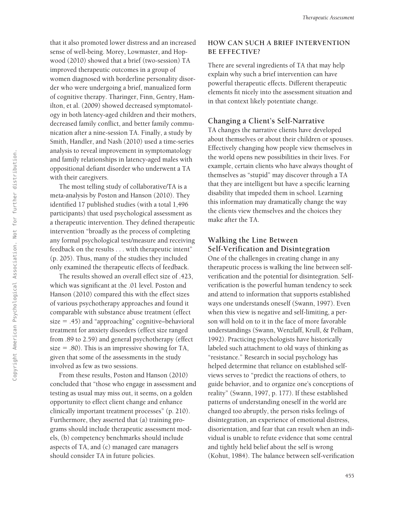that it also promoted lower distress and an increased sense of well-being. Morey, Lowmaster, and Hopwood (2010) showed that a brief (two-session) TA improved therapeutic outcomes in a group of women diagnosed with borderline personality disorder who were undergoing a brief, manualized form of cognitive therapy. Tharinger, Finn, Gentry, Hamilton, et al. (2009) showed decreased symptomatology in both latency-aged children and their mothers, decreased family conflict, and better family communication after a nine-session TA. Finally, a study by Smith, Handler, and Nash (2010) used a time-series analysis to reveal improvement in symptomatology and family relationships in latency-aged males with oppositional defiant disorder who underwent a TA with their caregivers.

The most telling study of collaborative/TA is a meta-analysis by Poston and Hanson (2010). They identified 17 published studies (with a total 1,496 participants) that used psychological assessment as a therapeutic intervention. They defined therapeutic intervention "broadly as the process of completing any formal psychological test/measure and receiving feedback on the results . . . with therapeutic intent" (p. 205). Thus, many of the studies they included only examined the therapeutic effects of feedback.

The results showed an overall effect size of .423, which was significant at the .01 level. Poston and Hanson (2010) compared this with the effect sizes of various psychotherapy approaches and found it comparable with substance abuse treatment (effect  $size = .45)$  and "approaching" cognitive–behavioral treatment for anxiety disorders (effect size ranged from .89 to 2.59) and general psychotherapy (effect  $size = .80$ ). This is an impressive showing for TA, given that some of the assessments in the study involved as few as two sessions.

From these results, Poston and Hanson (2010) concluded that "those who engage in assessment and testing as usual may miss out, it seems, on a golden opportunity to effect client change and enhance clinically important treatment processes" (p. 210). Furthermore, they asserted that (a) training programs should include therapeutic assessment models, (b) competency benchmarks should include aspects of TA, and (c) managed care managers should consider TA in future policies.

## **HOW CAN SUCH A BRIEF INTERVENTION BE EFFECTIVE?**

There are several ingredients of TA that may help explain why such a brief intervention can have powerful therapeutic effects. Different therapeutic elements fit nicely into the assessment situation and in that context likely potentiate change.

## **Changing a Client's Self-Narrative**

TA changes the narrative clients have developed about themselves or about their children or spouses. Effectively changing how people view themselves in the world opens new possibilities in their lives. For example, certain clients who have always thought of themselves as "stupid" may discover through a TA that they are intelligent but have a specific learning disability that impeded them in school. Learning this information may dramatically change the way the clients view themselves and the choices they make after the TA.

# **Walking the Line Between Self-Verification and Disintegration**

One of the challenges in creating change in any therapeutic process is walking the line between selfverification and the potential for disintegration. Selfverification is the powerful human tendency to seek and attend to information that supports established ways one understands oneself (Swann, 1997). Even when this view is negative and self-limiting, a person will hold on to it in the face of more favorable understandings (Swann, Wenzlaff, Krull, & Pelham, 1992). Practicing psychologists have historically labeled such attachment to old ways of thinking as "resistance." Research in social psychology has helped determine that reliance on established selfviews serves to "predict the reactions of others, to guide behavior, and to organize one's conceptions of reality" (Swann, 1997, p. 177). If these established patterns of understanding oneself in the world are changed too abruptly, the person risks feelings of disintegration, an experience of emotional distress, disorientation, and fear that can result when an individual is unable to refute evidence that some central and tightly held belief about the self is wrong (Kohut, 1984). The balance between self-verification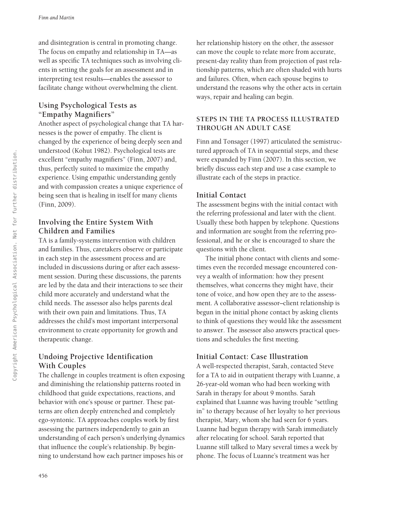and disintegration is central in promoting change. The focus on empathy and relationship in TA—as well as specific TA techniques such as involving clients in setting the goals for an assessment and in interpreting test results—enables the assessor to facilitate change without overwhelming the client.

# **Using Psychological Tests as "Empathy Magnifiers"**

Another aspect of psychological change that TA harnesses is the power of empathy. The client is changed by the experience of being deeply seen and understood (Kohut 1982). Psychological tests are excellent "empathy magnifiers" (Finn, 2007) and, thus, perfectly suited to maximize the empathy experience. Using empathic understanding gently and with compassion creates a unique experience of being seen that is healing in itself for many clients (Finn, 2009).

# **Involving the Entire System With Children and Families**

TA is a family-systems intervention with children and families. Thus, caretakers observe or participate in each step in the assessment process and are included in discussions during or after each assessment session. During these discussions, the parents are led by the data and their interactions to see their child more accurately and understand what the child needs. The assessor also helps parents deal with their own pain and limitations. Thus, TA addresses the child's most important interpersonal environment to create opportunity for growth and therapeutic change.

# **Undoing Projective Identification With Couples**

The challenge in couples treatment is often exposing and diminishing the relationship patterns rooted in childhood that guide expectations, reactions, and behavior with one's spouse or partner. These patterns are often deeply entrenched and completely ego-syntonic. TA approaches couples work by first assessing the partners independently to gain an understanding of each person's underlying dynamics that influence the couple's relationship. By beginning to understand how each partner imposes his or

her relationship history on the other, the assessor can move the couple to relate more from accurate, present-day reality than from projection of past relationship patterns, which are often shaded with hurts and failures. Often, when each spouse begins to understand the reasons why the other acts in certain ways, repair and healing can begin.

# **STEPS IN THE TA PROCESS ILLUSTRATED THROUGH AN ADULT CASE**

Finn and Tonsager (1997) articulated the semistructured approach of TA in sequential steps, and these were expanded by Finn (2007). In this section, we briefly discuss each step and use a case example to illustrate each of the steps in practice.

# **Initial Contact**

The assessment begins with the initial contact with the referring professional and later with the client. Usually these both happen by telephone. Questions and information are sought from the referring professional, and he or she is encouraged to share the questions with the client.

The initial phone contact with clients and sometimes even the recorded message encountered convey a wealth of information: how they present themselves, what concerns they might have, their tone of voice, and how open they are to the assessment. A collaborative assessor–client relationship is begun in the initial phone contact by asking clients to think of questions they would like the assessment to answer. The assessor also answers practical questions and schedules the first meeting.

# **Initial Contact: Case Illustration**

A well-respected therapist, Sarah, contacted Steve for a TA to aid in outpatient therapy with Luanne, a 26-year-old woman who had been working with Sarah in therapy for about 9 months. Sarah explained that Luanne was having trouble "settling in" to therapy because of her loyalty to her previous therapist, Mary, whom she had seen for 6 years. Luanne had begun therapy with Sarah immediately after relocating for school. Sarah reported that Luanne still talked to Mary several times a week by phone. The focus of Luanne's treatment was her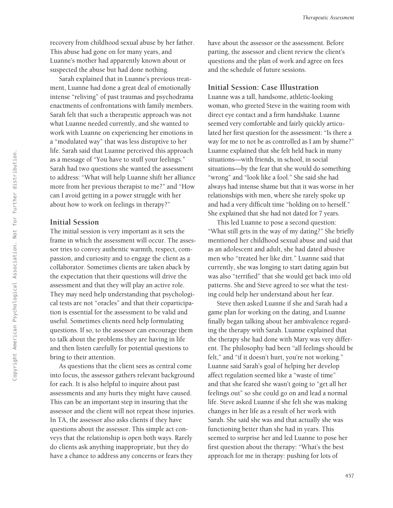recovery from childhood sexual abuse by her father. This abuse had gone on for many years, and Luanne's mother had apparently known about or suspected the abuse but had done nothing.

Sarah explained that in Luanne's previous treatment, Luanne had done a great deal of emotionally intense "reliving" of past traumas and psychodrama enactments of confrontations with family members. Sarah felt that such a therapeutic approach was not what Luanne needed currently, and she wanted to work with Luanne on experiencing her emotions in a "modulated way" that was less disruptive to her life. Sarah said that Luanne perceived this approach as a message of "You have to stuff your feelings." Sarah had two questions she wanted the assessment to address: "What will help Luanne shift her alliance more from her previous therapist to me?" and "How can I avoid getting in a power struggle with her about how to work on feelings in therapy?"

## **Initial Session**

The initial session is very important as it sets the frame in which the assessment will occur. The assessor tries to convey authentic warmth, respect, compassion, and curiosity and to engage the client as a collaborator. Sometimes clients are taken aback by the expectation that their questions will drive the assessment and that they will play an active role. They may need help understanding that psychological tests are not "oracles" and that their coparticipation is essential for the assessment to be valid and useful. Sometimes clients need help formulating questions. If so, to the assessor can encourage them to talk about the problems they are having in life and then listen carefully for potential questions to bring to their attention.

As questions that the client sees as central come into focus, the assessor gathers relevant background for each. It is also helpful to inquire about past assessments and any hurts they might have caused. This can be an important step in insuring that the assessor and the client will not repeat those injuries. In TA, the assessor also asks clients if they have questions about the assessor. This simple act conveys that the relationship is open both ways. Rarely do clients ask anything inappropriate, but they do have a chance to address any concerns or fears they

have about the assessor or the assessment. Before parting, the assessor and client review the client's questions and the plan of work and agree on fees and the schedule of future sessions.

## **Initial Session: Case Illustration**

Luanne was a tall, handsome, athletic-looking woman, who greeted Steve in the waiting room with direct eye contact and a firm handshake. Luanne seemed very comfortable and fairly quickly articulated her first question for the assessment: "Is there a way for me to not be as controlled as I am by shame?" Luanne explained that she felt held back in many situations—with friends, in school, in social situations—by the fear that she would do something "wrong" and "look like a fool." She said she had always had intense shame but that it was worse in her relationships with men, where she rarely spoke up and had a very difficult time "holding on to herself." She explained that she had not dated for 7 years.

This led Luanne to pose a second question: "What still gets in the way of my dating?" She briefly mentioned her childhood sexual abuse and said that as an adolescent and adult, she had dated abusive men who "treated her like dirt." Luanne said that currently, she was longing to start dating again but was also "terrified" that she would get back into old patterns. She and Steve agreed to see what the testing could help her understand about her fear.

Steve then asked Luanne if she and Sarah had a game plan for working on the dating, and Luanne finally began talking about her ambivalence regarding the therapy with Sarah. Luanne explained that the therapy she had done with Mary was very different. The philosophy had been "all feelings should be felt," and "if it doesn't hurt, you're not working." Luanne said Sarah's goal of helping her develop affect regulation seemed like a "waste of time" and that she feared she wasn't going to "get all her feelings out" so she could go on and lead a normal life. Steve asked Luanne if she felt she was making changes in her life as a result of her work with Sarah. She said she was and that actually she was functioning better than she had in years. This seemed to surprise her and led Luanne to pose her first question about the therapy: "What's the best approach for me in therapy: pushing for lots of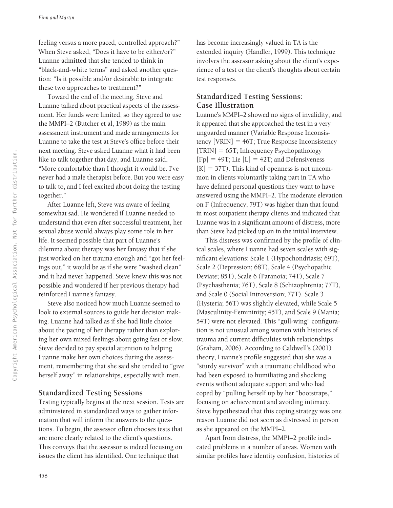feeling versus a more paced, controlled approach?" When Steve asked, "Does it have to be either/or?" Luanne admitted that she tended to think in "black-and-white terms" and asked another question: "Is it possible and/or desirable to integrate these two approaches to treatment?"

Toward the end of the meeting, Steve and Luanne talked about practical aspects of the assessment. Her funds were limited, so they agreed to use the MMPI–2 (Butcher et al, 1989) as the main assessment instrument and made arrangements for Luanne to take the test at Steve's office before their next meeting. Steve asked Luanne what it had been like to talk together that day, and Luanne said, "More comfortable than I thought it would be. I've never had a male therapist before. But you were easy to talk to, and I feel excited about doing the testing together."

After Luanne left, Steve was aware of feeling somewhat sad. He wondered if Luanne needed to understand that even after successful treatment, her sexual abuse would always play some role in her life. It seemed possible that part of Luanne's dilemma about therapy was her fantasy that if she just worked on her trauma enough and "got her feelings out," it would be as if she were "washed clean" and it had never happened. Steve knew this was not possible and wondered if her previous therapy had reinforced Luanne's fantasy.

Steve also noticed how much Luanne seemed to look to external sources to guide her decision making. Luanne had talked as if she had little choice about the pacing of her therapy rather than exploring her own mixed feelings about going fast or slow. Steve decided to pay special attention to helping Luanne make her own choices during the assessment, remembering that she said she tended to "give herself away" in relationships, especially with men.

## **Standardized Testing Sessions**

Testing typically begins at the next session. Tests are administered in standardized ways to gather information that will inform the answers to the questions. To begin, the assessor often chooses tests that are more clearly related to the client's questions. This conveys that the assessor is indeed focusing on issues the client has identified. One technique that

has become increasingly valued in TA is the extended inquiry (Handler, 1999). This technique involves the assessor asking about the client's experience of a test or the client's thoughts about certain test responses.

## **Standardized Testing Sessions: Case Illustration**

Luanne's MMPI–2 showed no signs of invalidity, and it appeared that she approached the test in a very unguarded manner (Variable Response Inconsistency [VRIN] = 46T; True Response Inconsistency [TRIN] = 65T; Infrequency Psychopathology  $[Fp] = 49T$ ; Lie  $[L] = 42T$ ; and Defensiveness  $[K] = 37T$ . This kind of openness is not uncommon in clients voluntarily taking part in TA who have defined personal questions they want to have answered using the MMPI–2. The moderate elevation on F (Infrequency; 79T) was higher than that found in most outpatient therapy clients and indicated that Luanne was in a significant amount of distress, more than Steve had picked up on in the initial interview.

This distress was confirmed by the profile of clinical scales, where Luanne had seven scales with significant elevations: Scale 1 (Hypochondriasis; 69T), Scale 2 (Depression; 68T), Scale 4 (Psychopathic Deviate; 85T), Scale 6 (Paranoia; 74T), Scale 7 (Psychasthenia; 76T), Scale 8 (Schizophrenia; 77T), and Scale 0 (Social Introversion; 77T). Scale 3 (Hysteria; 56T) was slightly elevated, while Scale 5 (Masculinity-Femininity; 45T), and Scale 9 (Mania; 54T) were not elevated. This "gull-wing" configuration is not unusual among women with histories of trauma and current difficulties with relationships (Graham, 2006). According to Caldwell's (2001) theory, Luanne's profile suggested that she was a "sturdy survivor" with a traumatic childhood who had been exposed to humiliating and shocking events without adequate support and who had coped by "pulling herself up by her "bootstraps," focusing on achievement and avoiding intimacy. Steve hypothesized that this coping strategy was one reason Luanne did not seem as distressed in person as she appeared on the MMPI–2.

Apart from distress, the MMPI–2 profile indicated problems in a number of areas. Women with similar profiles have identity confusion, histories of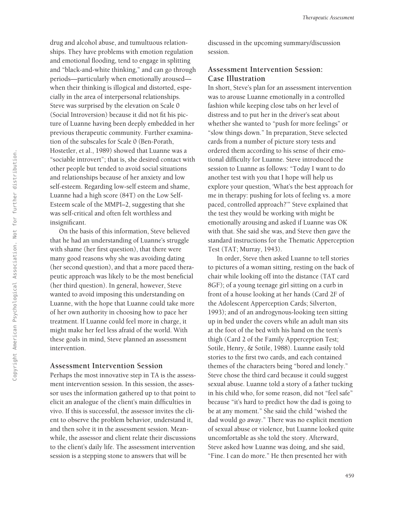drug and alcohol abuse, and tumultuous relationships. They have problems with emotion regulation and emotional flooding, tend to engage in splitting and "black-and-white thinking," and can go through periods—particularly when emotionally aroused when their thinking is illogical and distorted, especially in the area of interpersonal relationships. Steve was surprised by the elevation on Scale 0 (Social Introversion) because it did not fit his picture of Luanne having been deeply embedded in her previous therapeutic community. Further examination of the subscales for Scale 0 (Ben-Porath, Hostetler, et al., 1989) showed that Luanne was a "sociable introvert"; that is, she desired contact with other people but tended to avoid social situations and relationships because of her anxiety and low self-esteem. Regarding low-self esteem and shame, Luanne had a high score (84T) on the Low Self-Esteem scale of the MMPI–2, suggesting that she was self-critical and often felt worthless and insignificant.

On the basis of this information, Steve believed that he had an understanding of Luanne's struggle with shame (her first question), that there were many good reasons why she was avoiding dating (her second question), and that a more paced therapeutic approach was likely to be the most beneficial (her third question). In general, however, Steve wanted to avoid imposing this understanding on Luanne, with the hope that Luanne could take more of her own authority in choosing how to pace her treatment. If Luanne could feel more in charge, it might make her feel less afraid of the world. With these goals in mind, Steve planned an assessment intervention.

#### **Assessment Intervention Session**

Perhaps the most innovative step in TA is the assessment intervention session. In this session, the assessor uses the information gathered up to that point to elicit an analogue of the client's main difficulties in vivo. If this is successful, the assessor invites the client to observe the problem behavior, understand it, and then solve it in the assessment session. Meanwhile, the assessor and client relate their discussions to the client's daily life. The assessment intervention session is a stepping stone to answers that will be

discussed in the upcoming summary/discussion session.

## **Assessment Intervention Session: Case Illustration**

In short, Steve's plan for an assessment intervention was to arouse Luanne emotionally in a controlled fashion while keeping close tabs on her level of distress and to put her in the driver's seat about whether she wanted to "push for more feelings" or "slow things down." In preparation, Steve selected cards from a number of picture story tests and ordered them according to his sense of their emotional difficulty for Luanne. Steve introduced the session to Luanne as follows: "Today I want to do another test with you that I hope will help us explore your question, 'What's the best approach for me in therapy: pushing for lots of feeling vs. a more paced, controlled approach?'" Steve explained that the test they would be working with might be emotionally arousing and asked if Luanne was OK with that. She said she was, and Steve then gave the standard instructions for the Thematic Apperception Test (TAT; Murray, 1943).

In order, Steve then asked Luanne to tell stories to pictures of a woman sitting, resting on the back of chair while looking off into the distance (TAT card 8GF); of a young teenage girl sitting on a curb in front of a house looking at her hands (Card 2F of the Adolescent Apperception Cards; Silverton, 1993); and of an androgynous-looking teen sitting up in bed under the covers while an adult man sits at the foot of the bed with his hand on the teen's thigh (Card 2 of the Family Apperception Test; Sotile, Henry, & Sotile, 1988). Luanne easily told stories to the first two cards, and each contained themes of the characters being "bored and lonely." Steve chose the third card because it could suggest sexual abuse. Luanne told a story of a father tucking in his child who, for some reason, did not "feel safe" because "it's hard to predict how the dad is going to be at any moment." She said the child "wished the dad would go away." There was no explicit mention of sexual abuse or violence, but Luanne looked quite uncomfortable as she told the story. Afterward, Steve asked how Luanne was doing, and she said, "Fine. I can do more." He then presented her with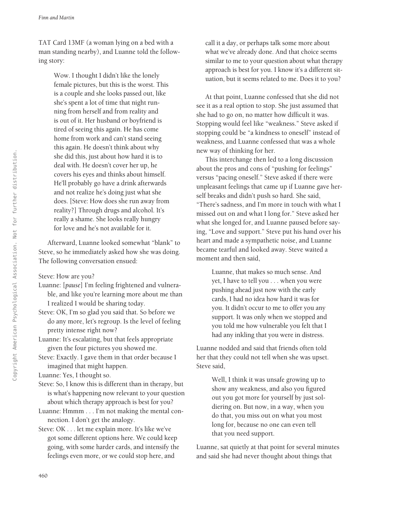TAT Card 13MF (a woman lying on a bed with a man standing nearby), and Luanne told the following story:

> Wow. I thought I didn't like the lonely female pictures, but this is the worst. This is a couple and she looks passed out, like she's spent a lot of time that night running from herself and from reality and is out of it. Her husband or boyfriend is tired of seeing this again. He has come home from work and can't stand seeing this again. He doesn't think about why she did this, just about how hard it is to deal with. He doesn't cover her up, he covers his eyes and thinks about himself. He'll probably go have a drink afterwards and not realize he's doing just what she does. [Steve: How does she run away from reality?] Through drugs and alcohol. It's really a shame. She looks really hungry for love and he's not available for it.

Afterward, Luanne looked somewhat "blank" to Steve, so he immediately asked how she was doing. The following conversation ensued:

Steve: How are you?

- Luanne: [*pause*] I'm feeling frightened and vulnerable, and like you're learning more about me than I realized I would be sharing today.
- Steve: OK, I'm so glad you said that. So before we do any more, let's regroup. Is the level of feeling pretty intense right now?
- Luanne: It's escalating, but that feels appropriate given the four pictures you showed me.
- Steve: Exactly. I gave them in that order because I imagined that might happen.

Luanne: Yes, I thought so.

- Steve: So, I know this is different than in therapy, but is what's happening now relevant to your question about which therapy approach is best for you?
- Luanne: Hmmm . . . I'm not making the mental connection. I don't get the analogy.
- Steve: OK . . . let me explain more. It's like we've got some different options here. We could keep going, with some harder cards, and intensify the feelings even more, or we could stop here, and

call it a day, or perhaps talk some more about what we've already done. And that choice seems similar to me to your question about what therapy approach is best for you. I know it's a different situation, but it seems related to me. Does it to you?

At that point, Luanne confessed that she did not see it as a real option to stop. She just assumed that she had to go on, no matter how difficult it was. Stopping would feel like "weakness." Steve asked if stopping could be "a kindness to oneself" instead of weakness, and Luanne confessed that was a whole new way of thinking for her.

This interchange then led to a long discussion about the pros and cons of "pushing for feelings" versus "pacing oneself." Steve asked if there were unpleasant feelings that came up if Luanne gave herself breaks and didn't push so hard. She said, "There's sadness, and I'm more in touch with what I missed out on and what I long for." Steve asked her what she longed for, and Luanne paused before saying, "Love and support." Steve put his hand over his heart and made a sympathetic noise, and Luanne became tearful and looked away. Steve waited a moment and then said,

Luanne, that makes so much sense. And yet, I have to tell you . . . when you were pushing ahead just now with the early cards, I had no idea how hard it was for you. It didn't occur to me to offer you any support. It was only when we stopped and you told me how vulnerable you felt that I had any inkling that you were in distress.

Luanne nodded and said that friends often told her that they could not tell when she was upset. Steve said,

> Well, I think it was unsafe growing up to show any weakness, and also you figured out you got more for yourself by just soldiering on. But now, in a way, when you do that, you miss out on what you most long for, because no one can even tell that you need support.

Luanne, sat quietly at that point for several minutes and said she had never thought about things that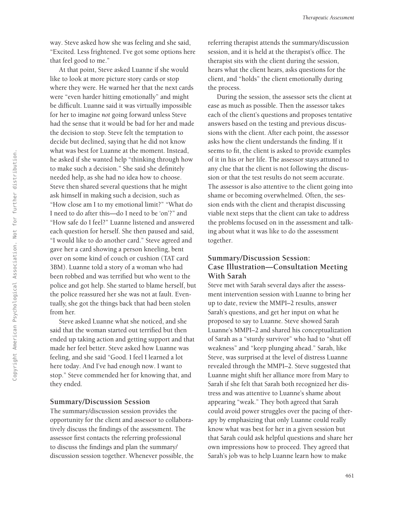way. Steve asked how she was feeling and she said, "Excited. Less frightened. I've got some options here that feel good to me."

At that point, Steve asked Luanne if she would like to look at more picture story cards or stop where they were. He warned her that the next cards were "even harder hitting emotionally" and might be difficult. Luanne said it was virtually impossible for her to imagine *not* going forward unless Steve had the sense that it would be bad for her and made the decision to stop. Steve felt the temptation to decide but declined, saying that he did not know what was best for Luanne at the moment. Instead, he asked if she wanted help "thinking through how to make such a decision." She said she definitely needed help, as she had no idea how to choose. Steve then shared several questions that he might ask himself in making such a decision, such as "How close am I to my emotional limit?" "What do I need to do after this—do I need to be 'on'?" and "How safe do I feel?" Luanne listened and answered each question for herself. She then paused and said, "I would like to do another card." Steve agreed and gave her a card showing a person kneeling, bent over on some kind of couch or cushion (TAT card 3BM). Luanne told a story of a woman who had been robbed and was terrified but who went to the police and got help. She started to blame herself, but the police reassured her she was not at fault. Eventually, she got the things back that had been stolen from her.

Steve asked Luanne what she noticed, and she said that the woman started out terrified but then ended up taking action and getting support and that made her feel better. Steve asked how Luanne was feeling, and she said "Good. I feel I learned a lot here today. And I've had enough now. I want to stop." Steve commended her for knowing that, and they ended.

#### **Summary/Discussion Session**

The summary/discussion session provides the opportunity for the client and assessor to collaboratively discuss the findings of the assessment. The assessor first contacts the referring professional to discuss the findings and plan the summary/ discussion session together. Whenever possible, the referring therapist attends the summary/discussion session, and it is held at the therapist's office. The therapist sits with the client during the session, hears what the client hears, asks questions for the client, and "holds" the client emotionally during the process.

During the session, the assessor sets the client at ease as much as possible. Then the assessor takes each of the client's questions and proposes tentative answers based on the testing and previous discussions with the client. After each point, the assessor asks how the client understands the finding. If it seems to fit, the client is asked to provide examples of it in his or her life. The assessor stays attuned to any clue that the client is not following the discussion or that the test results do not seem accurate. The assessor is also attentive to the client going into shame or becoming overwhelmed. Often, the session ends with the client and therapist discussing viable next steps that the client can take to address the problems focused on in the assessment and talking about what it was like to do the assessment together.

## **Summary/Discussion Session: Case Illustration—Consultation Meeting With Sarah**

Steve met with Sarah several days after the assessment intervention session with Luanne to bring her up to date, review the MMPI–2 results, answer Sarah's questions, and get her input on what he proposed to say to Luanne. Steve showed Sarah Luanne's MMPI–2 and shared his conceptualization of Sarah as a "sturdy survivor" who had to "shut off weakness" and "keep plunging ahead." Sarah, like Steve, was surprised at the level of distress Luanne revealed through the MMPI–2. Steve suggested that Luanne might shift her alliance more from Mary to Sarah if she felt that Sarah both recognized her distress and was attentive to Luanne's shame about appearing "weak." They both agreed that Sarah could avoid power struggles over the pacing of therapy by emphasizing that only Luanne could really know what was best for her in a given session but that Sarah could ask helpful questions and share her own impressions how to proceed. They agreed that Sarah's job was to help Luanne learn how to make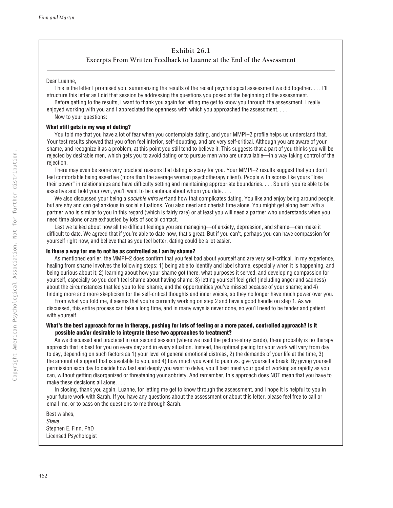## **Exhibit 26.1 Excerpts From Written Feedback to Luanne at the End of the Assessment**

#### Dear Luanne,

This is the letter I promised you, summarizing the results of the recent psychological assessment we did together. . . . I'll structure this letter as I did that session by addressing the questions you posed at the beginning of the assessment.

Before getting to the results, I want to thank you again for letting me get to know you through the assessment. I really enjoyed working with you and I appreciated the openness with which you approached the assessment. . . .

Now to your questions:

#### What still gets in my way of dating?

You told me that you have a lot of fear when you contemplate dating, and your MMPI–2 profile helps us understand that. Your test results showed that you often feel inferior, self-doubting, and are very self-critical. Although you are aware of your shame, and recognize it as a problem, at this point you still tend to believe it. This suggests that a part of you thinks you will be rejected by desirable men, which gets you to avoid dating or to pursue men who are unavailable—in a way taking control of the rejection.

There may even be some very practical reasons that dating is scary for you. Your MMPI–2 results suggest that you don't feel comfortable being assertive (more than the average woman psychotherapy client). People with scores like yours "lose their power" in relationships and have difficulty setting and maintaining appropriate boundaries. . . . So until you're able to be assertive and hold your own, you'll want to be cautious about whom you date. . . .

We also discussed your being a *sociable introvert* and how that complicates dating. You like and enjoy being around people, but are shy and can get anxious in social situations. You also need and cherish time alone. You might get along best with a partner who is similar to you in this regard (which is fairly rare) or at least you will need a partner who understands when you need time alone or are exhausted by lots of social contact.

Last we talked about how all the difficult feelings you are managing—of anxiety, depression, and shame—can make it difficult to date. We agreed that if you're able to date now, that's great. But if you can't, perhaps you can have compassion for yourself right now, and believe that as you feel better, dating could be a lot easier.

#### Is there a way for me to not be as controlled as I am by shame?

As mentioned earlier, the MMPI–2 does confirm that you feel bad about yourself and are very self-critical. In my experience, healing from shame involves the following steps: 1) being able to identify and label shame, especially when it is happening, and being curious about it; 2) learning about how your shame got there, what purposes it served, and developing compassion for yourself, especially so you don't feel shame about having shame; 3) letting yourself feel grief (including anger and sadness) about the circumstances that led you to feel shame, and the opportunities you've missed because of your shame; and 4) finding more and more skepticism for the self-critical thoughts and inner voices, so they no longer have much power over you.

From what you told me, it seems that you're currently working on step 2 and have a good handle on step 1. As we discussed, this entire process can take a long time, and in many ways is never done, so you'll need to be tender and patient with yourself.

#### What's the best approach for me in therapy, pushing for lots of feeling or a more paced, controlled approach? Is it possible and/or desirable to integrate these two approaches to treatment?

As we discussed and practiced in our second session (where we used the picture-story cards), there probably is no therapy approach that is best for you on every day and in every situation. Instead, the optimal pacing for your work will vary from day to day, depending on such factors as 1) your level of general emotional distress, 2) the demands of your life at the time, 3) the amount of support that is available to you, and 4) how much you want to push vs. give yourself a break. By giving yourself permission each day to decide how fast and deeply you want to delve, you'll best meet your goal of working as rapidly as you can, without getting disorganized or threatening your sobriety. And remember, this approach does NOT mean that you have to make these decisions all alone. . . .

In closing, thank you again, Luanne, for letting me get to know through the assessment, and I hope it is helpful to you in your future work with Sarah. If you have any questions about the assessment or about this letter, please feel free to call or email me, or to pass on the questions to me through Sarah.

Best wishes, *Steve* Stephen E. Finn, PhD Licensed Psychologist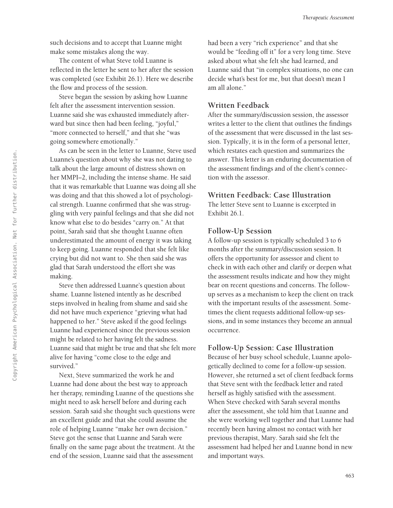such decisions and to accept that Luanne might make some mistakes along the way.

The content of what Steve told Luanne is reflected in the letter he sent to her after the session was completed (see Exhibit 26.1). Here we describe the flow and process of the session.

Steve began the session by asking how Luanne felt after the assessment intervention session. Luanne said she was exhausted immediately afterward but since then had been feeling, "joyful," "more connected to herself," and that she "was going somewhere emotionally."

As can be seen in the letter to Luanne, Steve used Luanne's question about why she was not dating to talk about the large amount of distress shown on her MMPI–2, including the intense shame. He said that it was remarkable that Luanne was doing all she was doing and that this showed a lot of psychological strength. Luanne confirmed that she was struggling with very painful feelings and that she did not know what else to do besides "carry on." At that point, Sarah said that she thought Luanne often underestimated the amount of energy it was taking to keep going. Luanne responded that she felt like crying but did not want to. She then said she was glad that Sarah understood the effort she was making.

Steve then addressed Luanne's question about shame. Luanne listened intently as he described steps involved in healing from shame and said she did not have much experience "grieving what had happened to her." Steve asked if the good feelings Luanne had experienced since the previous session might be related to her having felt the sadness. Luanne said that might be true and that she felt more alive for having "come close to the edge and survived."

Next, Steve summarized the work he and Luanne had done about the best way to approach her therapy, reminding Luanne of the questions she might need to ask herself before and during each session. Sarah said she thought such questions were an excellent guide and that she could assume the role of helping Luanne "make her own decision." Steve got the sense that Luanne and Sarah were finally on the same page about the treatment. At the end of the session, Luanne said that the assessment

had been a very "rich experience" and that she would be "feeding off it" for a very long time. Steve asked about what she felt she had learned, and Luanne said that "in complex situations, no one can decide what's best for me, but that doesn't mean I am all alone."

## **Written Feedback**

After the summary/discussion session, the assessor writes a letter to the client that outlines the findings of the assessment that were discussed in the last session. Typically, it is in the form of a personal letter, which restates each question and summarizes the answer. This letter is an enduring documentation of the assessment findings and of the client's connection with the assessor.

## **Written Feedback: Case Illustration**

The letter Steve sent to Luanne is excerpted in Exhibit 26.1.

#### **Follow-Up Session**

A follow-up session is typically scheduled 3 to 6 months after the summary/discussion session. It offers the opportunity for assessor and client to check in with each other and clarify or deepen what the assessment results indicate and how they might bear on recent questions and concerns. The followup serves as a mechanism to keep the client on track with the important results of the assessment. Sometimes the client requests additional follow-up sessions, and in some instances they become an annual occurrence.

#### **Follow-Up Session: Case Illustration**

Because of her busy school schedule, Luanne apologetically declined to come for a follow-up session. However, she returned a set of client feedback forms that Steve sent with the feedback letter and rated herself as highly satisfied with the assessment. When Steve checked with Sarah several months after the assessment, she told him that Luanne and she were working well together and that Luanne had recently been having almost no contact with her previous therapist, Mary. Sarah said she felt the assessment had helped her and Luanne bond in new and important ways.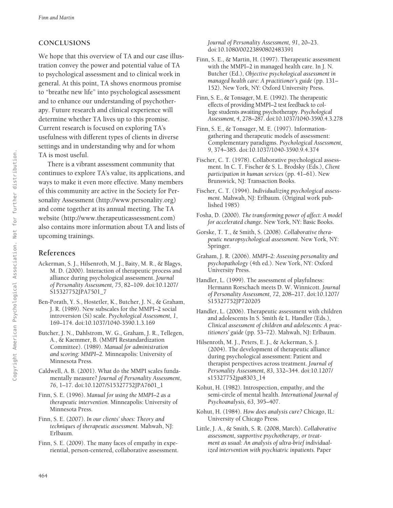# **CONCLUSIONS**

We hope that this overview of TA and our case illustration convey the power and potential value of TA to psychological assessment and to clinical work in general. At this point, TA shows enormous promise to "breathe new life" into psychological assessment and to enhance our understanding of psychotherapy. Future research and clinical experience will determine whether TA lives up to this promise. Current research is focused on exploring TA's usefulness with different types of clients in diverse settings and in understanding why and for whom TA is most useful.

There is a vibrant assessment community that continues to explore TA's value, its applications, and ways to make it even more effective. Many members of this community are active in the Society for Personality Assessment (http://www.personality.org) and come together at its annual meeting. The TA website (http://www.therapeuticassessment.com) also contains more information about TA and lists of upcoming trainings.

## **References**

- Ackerman, S. J., Hilsenroth, M. J., Baity, M. R., & Blagys, M. D. (2000). Interaction of therapeutic process and alliance during psychological assessment. *Journal of Personality Assessment, 75*, 82–109. doi:10.1207/ S15327752JPA7501\_7
- Ben-Porath, Y. S., Hostetler, K., Butcher, J. N., & Graham, J. R. (1989). New subscales for the MMPI–2 social introversion (Si) scale. *Psychological Assessment, 1*, 169–174. doi:10.1037/1040-3590.1.3.169
- Butcher, J. N., Dahlstrom, W. G., Graham, J. R., Tellegen, A., & Kaemmer, B. (MMPI Restandardization Committee). (1989). *Manual for administration and scoring: MMPI–2.* Minneapolis: University of Minnesota Press.
- Caldwell, A. B. (2001). What do the MMPI scales fundamentally measure? *Journal of Personality Assessment*, *76*, 1–17. doi:10.1207/S15327752JPA7601\_1
- Finn, S. E. (1996). *Manual for using the MMPI–2 as a therapeutic intervention.* Minneapolis: University of Minnesota Press.
- Finn, S. E. (2007). *In our clients' shoes: Theory and techniques of therapeutic assessment.* Mahwah, NJ: Erlbaum.
- Finn, S. E. (2009). The many faces of empathy in experiential, person-centered, collaborative assessment.

*Journal of Personality Assessment, 91*, 20–23. doi:10.1080/00223890802483391

- Finn, S. E., & Martin, H. (1997). Therapeutic assessment with the MMPI–2 in managed health care. In J. N. Butcher (Ed.), *Objective psychological assessment in managed health care: A practitioner's guide* (pp. 131– 152). New York, NY: Oxford University Press.
- Finn, S. E., & Tonsager, M. E. (1992). The therapeutic effects of providing MMPI–2 test feedback to college students awaiting psychotherapy. *Psychological Assessment, 4*, 278–287. doi:10.1037/1040-3590.4.3.278
- Finn, S. E., & Tonsager, M. E. (1997). Informationgathering and therapeutic models of assessment: Complementary paradigms. *Psychological Assessment, 9*, 374–385. doi:10.1037/1040-3590.9.4.374
- Fischer, C. T. (1978). Collaborative psychological assessment. In C. T. Fischer & S. L. Brodsky (Eds.), *Client participation in human services* (pp. 41–61). New Brunswick, NJ: Transaction Books.
- Fischer, C. T. (1994). *Individualizing psychological assessment*. Mahwah, NJ: Erlbaum. (Original work published 1985)
- Fosha, D. (2000). *The transforming power of affect: A model for accelerated change.* New York, NY: Basic Books.
- Gorske, T. T., & Smith, S. (2008). *Collaborative therapeutic neuropsychological assessment.* New York, NY: Springer.
- Graham, J. R. (2006). *MMPI–2: Assessing personality and psychopathology* (4th ed.). New York, NY: Oxford University Press.
- Handler, L. (1999). The assessment of playfulness: Hermann Rorschach meets D. W. Winnicott. *Journal of Personality Assessment, 72*, 208–217. doi:10.1207/ S15327752JP720205
- Handler, L. (2006). Therapeutic assessment with children and adolescents In S. Smith & L. Handler (Eds.), *Clinical assessment of children and adolescents: A practitioners' guide* (pp. 53–72). Mahwah, NJ: Erlbaum.
- Hilsenroth, M. J., Peters, E. J., & Ackerman, S. J. (2004). The development of therapeutic alliance during psychological assessment: Patient and therapist perspectives across treatment. *Journal of Personality Assessment, 83*, 332–344. doi:10.1207/ s15327752jpa8303\_14
- Kohut, H. (1982). Introspection, empathy, and the semi-circle of mental health. *International Journal of Psychoanalysis, 63*, 395–407.
- Kohut, H. (1984). *How does analysis cure?* Chicago, IL: University of Chicago Press.
- Little, J. A., & Smith, S. R. (2008, March). *Collaborative assessment, supportive psychotherapy, or treatment as usual: An analysis of ultra-brief individualized intervention with psychiatric inpatients.* Paper